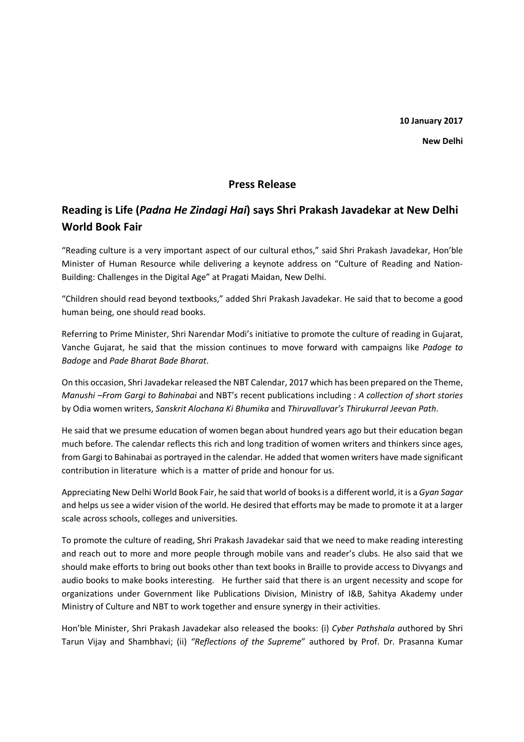**New Delhi** 

## **Press Release**

## **Reading is Life (***Padna He Zindagi Hai***) says Shri Prakash Javadekar at New Delhi World Book Fair**

"Reading culture is a very important aspect of our cultural ethos," said Shri Prakash Javadekar, Hon'ble Minister of Human Resource while delivering a keynote address on "Culture of Reading and Nation-Building: Challenges in the Digital Age" at Pragati Maidan, New Delhi.

"Children should read beyond textbooks," added Shri Prakash Javadekar. He said that to become a good human being, one should read books.

Referring to Prime Minister, Shri Narendar Modi's initiative to promote the culture of reading in Gujarat, Vanche Gujarat, he said that the mission continues to move forward with campaigns like *Padoge to Badoge* and *Pade Bharat Bade Bharat*.

On this occasion, Shri Javadekar released the NBT Calendar, 2017 which has been prepared on the Theme, *Manushi –From Gargi to Bahinabai* and NBT's recent publications including : *A collection of short stories*  by Odia women writers, *Sanskrit Alochana Ki Bhumika* and *Thiruvalluvar's Thirukurral Jeevan Path*.

He said that we presume education of women began about hundred years ago but their education began much before. The calendar reflects this rich and long tradition of women writers and thinkers since ages, from Gargi to Bahinabai as portrayed in the calendar. He added that women writers have made significant contribution in literature which is a matter of pride and honour for us.

Appreciating New Delhi World Book Fair, he said that world of books is a different world, it is a *Gyan Sagar* and helps us see a wider vision of the world. He desired that efforts may be made to promote it at a larger scale across schools, colleges and universities.

To promote the culture of reading, Shri Prakash Javadekar said that we need to make reading interesting and reach out to more and more people through mobile vans and reader's clubs. He also said that we should make efforts to bring out books other than text books in Braille to provide access to Divyangs and audio books to make books interesting. He further said that there is an urgent necessity and scope for organizations under Government like Publications Division, Ministry of I&B, Sahitya Akademy under Ministry of Culture and NBT to work together and ensure synergy in their activities.

Hon'ble Minister, Shri Prakash Javadekar also released the books: (i) *Cyber Pathshala a*uthored by Shri Tarun Vijay and Shambhavi; (ii) *"Reflections of the Supreme*" authored by Prof. Dr. Prasanna Kumar